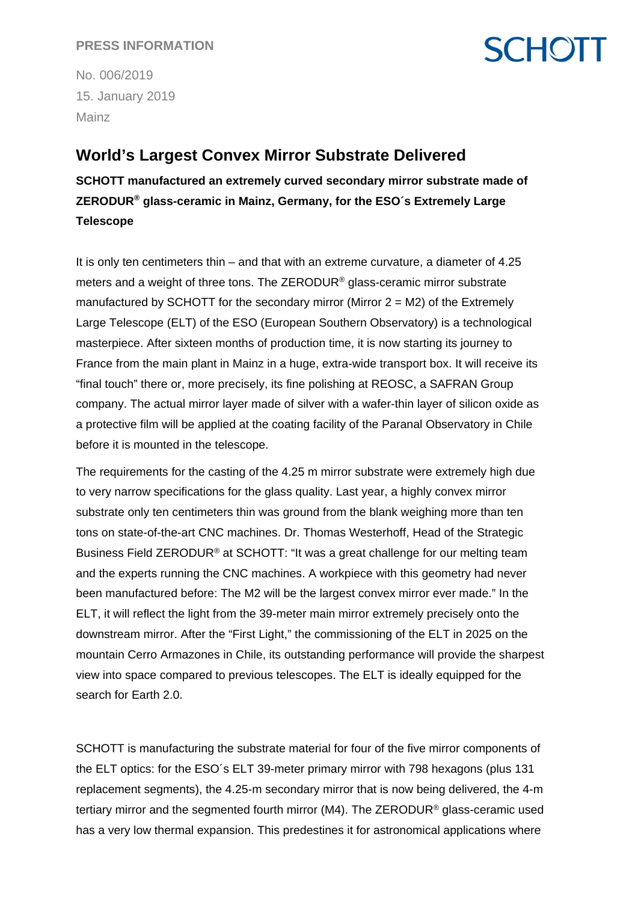#### **PRESS INFORMATION**

# **SCHOTT**

No. 006/2019 15. January 2019 Mainz

### **World's Largest Convex Mirror Substrate Delivered**

**SCHOTT manufactured an extremely curved secondary mirror substrate made of ZERODUR® glass-ceramic in Mainz, Germany, for the ESO´s Extremely Large Telescope** 

It is only ten centimeters thin – and that with an extreme curvature, a diameter of 4.25 meters and a weight of three tons. The ZERODUR® glass-ceramic mirror substrate manufactured by SCHOTT for the secondary mirror (Mirror  $2 = M2$ ) of the Extremely Large Telescope (ELT) of the ESO (European Southern Observatory) is a technological masterpiece. After sixteen months of production time, it is now starting its journey to France from the main plant in Mainz in a huge, extra-wide transport box. It will receive its "final touch" there or, more precisely, its fine polishing at REOSC, a SAFRAN Group company. The actual mirror layer made of silver with a wafer-thin layer of silicon oxide as a protective film will be applied at the coating facility of the Paranal Observatory in Chile before it is mounted in the telescope.

The requirements for the casting of the 4.25 m mirror substrate were extremely high due to very narrow specifications for the glass quality. Last year, a highly convex mirror substrate only ten centimeters thin was ground from the blank weighing more than ten tons on state-of-the-art CNC machines. Dr. Thomas Westerhoff, Head of the Strategic Business Field ZERODUR® at SCHOTT: "It was a great challenge for our melting team and the experts running the CNC machines. A workpiece with this geometry had never been manufactured before: The M2 will be the largest convex mirror ever made." In the ELT, it will reflect the light from the 39-meter main mirror extremely precisely onto the downstream mirror. After the "First Light," the commissioning of the ELT in 2025 on the mountain Cerro Armazones in Chile, its outstanding performance will provide the sharpest view into space compared to previous telescopes. The ELT is ideally equipped for the search for Earth 2.0.

SCHOTT is manufacturing the substrate material for four of the five mirror components of the ELT optics: for the ESO´s ELT 39-meter primary mirror with 798 hexagons (plus 131 replacement segments), the 4.25-m secondary mirror that is now being delivered, the 4-m tertiary mirror and the segmented fourth mirror (M4). The ZERODUR® glass-ceramic used has a very low thermal expansion. This predestines it for astronomical applications where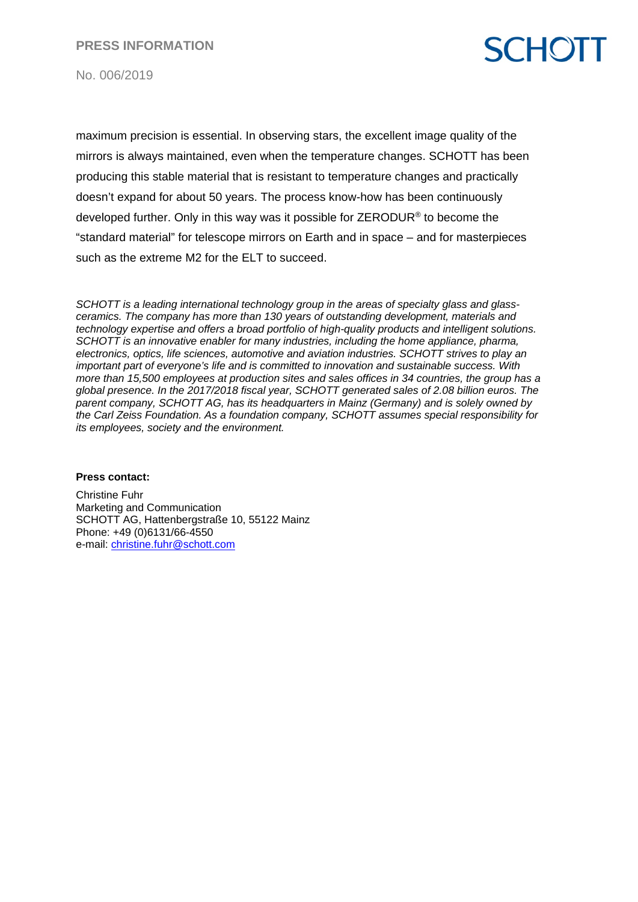**PRESS INFORMATION**

# **SCHOTT**

No. 006/2019

maximum precision is essential. In observing stars, the excellent image quality of the mirrors is always maintained, even when the temperature changes. SCHOTT has been producing this stable material that is resistant to temperature changes and practically doesn't expand for about 50 years. The process know-how has been continuously developed further. Only in this way was it possible for ZERODUR® to become the "standard material" for telescope mirrors on Earth and in space – and for masterpieces such as the extreme M2 for the ELT to succeed.

*SCHOTT is a leading international technology group in the areas of specialty glass and glassceramics. The company has more than 130 years of outstanding development, materials and technology expertise and offers a broad portfolio of high-quality products and intelligent solutions. SCHOTT is an innovative enabler for many industries, including the home appliance, pharma, electronics, optics, life sciences, automotive and aviation industries. SCHOTT strives to play an important part of everyone's life and is committed to innovation and sustainable success. With more than 15,500 employees at production sites and sales offices in 34 countries, the group has a global presence. In the 2017/2018 fiscal year, SCHOTT generated sales of 2.08 billion euros. The parent company, SCHOTT AG, has its headquarters in Mainz (Germany) and is solely owned by the Carl Zeiss Foundation. As a foundation company, SCHOTT assumes special responsibility for its employees, society and the environment.*

#### **Press contact:**

Christine Fuhr Marketing and Communication SCHOTT AG, Hattenbergstraße 10, 55122 Mainz Phone: +49 (0)6131/66-4550 e-mail: [christine.fuhr@schott.com](mailto:christine.fuhr@schott.com)